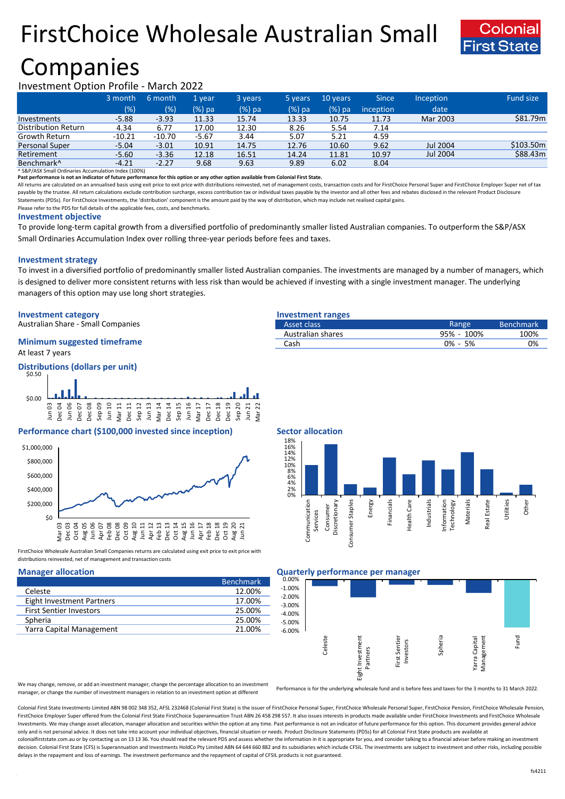# FirstChoice Wholesale Australian Small



## Companies

### Investment Option Profile - March 2022

|                            | 3 month  | 6 month  | '1 veari | 3 years | 5 years  | 10 years | <b>Since</b> | <b>Inception</b> | Fund size |
|----------------------------|----------|----------|----------|---------|----------|----------|--------------|------------------|-----------|
|                            | (% )     | (%)      | $(%)$ pa | (%) pa  | $(%)$ pa | (%) pa   | inception    | date             |           |
| Investments                | $-5.88$  | $-3.93$  | 11.33    | 15.74   | 13.33    | 10.75    | 11.73        | Mar 2003         | \$81.79m  |
| <b>Distribution Return</b> | 4.34     | 6.77     | 17.00    | 12.30   | 8.26     | 5.54     | 7.14         |                  |           |
| Growth Return              | $-10.21$ | $-10.70$ | $-5.67$  | 3.44    | 5.07     | 5.21     | 4.59         |                  |           |
| Personal Super             | $-5.04$  | $-3.01$  | 10.91    | 14.75   | 12.76    | 10.60    | 9.62         | Jul 2004         | \$103.50m |
| Retirement                 | $-5.60$  | $-3.36$  | 12.18    | 16.51   | 14.24    | 11.81    | 10.97        | Jul 2004         | \$88.43m  |
| Benchmark <sup>^</sup>     | $-4.21$  | $-2.27$  | 9.68     | 9.63    | 9.89     | 6.02     | 8.04         |                  |           |

^ S&P/ASX Small Ordinaries Accumulation Index (100%)

**Past performance is not an indicator of future performance for this option or any other option available from Colonial First State.**

All returns are calculated on an annualised basis using exit price to exit price with distributions reinvested, net of management costs, transaction costs and for FirstChoice Personal Super and FirstChoice Employer Super n payable by the trustee. All return calculations exclude contribution surcharge, excess contribution tax or individual taxes payable by the investor and all other fees and rebates disclosed in the relevant Product Disclosur Statements (PDSs). For FirstChoice Investments, the 'distribution' component is the amount paid by the way of distribution, which may include net realised capital gains.

Please refer to the PDS for full details of the applicable fees, costs, and benchmarks.

### **Investment objective**

To provide long-term capital growth from a diversified portfolio of predominantly smaller listed Australian companies. To outperform the S&P/ASX Small Ordinaries Accumulation Index over rolling three-year periods before fees and taxes.

### **Investment strategy**

To invest in a diversified portfolio of predominantly smaller listed Australian companies. The investments are managed by a number of managers, which is designed to deliver more consistent returns with less risk than would be achieved if investing with a single investment manager. The underlying managers of this option may use long short strategies.

### **Investment category Investment ranges**

Australian Share - Small Companies

### At least 7 years **Minimum suggested timeframe**

**Distributions (dollars per unit)** \$0.50



### **Performance chart (\$100,000 invested since inception)** Sector allocation



FirstChoice Wholesale Australian Small Companies returns are calculated using exit price to exit price with distributions reinvested, net of management and transaction costs

|                                | <b>Benchmark</b> |
|--------------------------------|------------------|
| Celeste                        | 12.00%           |
| Eight Investment Partners      | 17.00%           |
| <b>First Sentier Investors</b> | 25.00%           |
| Spheria                        | 25.00%           |
| Yarra Capital Management       | 21.00%           |

| Asset class       | Range       | <b>Benchmark</b> |
|-------------------|-------------|------------------|
| Australian shares | 95% - 100%  | 100%             |
| Cash              | $0\% - 5\%$ | ገ%               |



### **Manager allocation Quarterly performance per manager**



We may change, remove, or add an investment manager, change the percentage allocation to an investment manager, or change the number of investment managers in relation to an investment option at different

Performance is for the underlying wholesale fund and is before fees and taxes for the 3 months to 31 March 2022.

Colonial First State Investments Limited ABN 98 002 348 352, AFSL 232468 (Colonial First State) is the issuer of FirstChoice Personal Super, FirstChoice Wholesale Personal Super, FirstChoice Personal Super, FirstChoice Who FirstChoice Employer Super offered from the Colonial First State FirstChoice Superannuation Trust ABN 26 458 298 557. It also issues interests in products made available under FirstChoice Investments and FirstChoice Wholes Investments. We may change asset allocation, manager allocation and securities within the option at any time. Past performance is not an indicator of future performance for this option. This document provides general advic only and is not personal advice. It does not take into account your individual objectives, financial situation or needs. Product Disclosure Statements (PDSs) for all Colonial First State products are available at colonialfirststate.com.au or by contacting us on 13 13 36. You should read the relevant PDS and assess whether the information in it is appropriate for you, and consider talking to a financial adviser before making an inve decision. Colonial First State (CFS) is Superannuation and Investments HoldCo Pty Limited ABN 64 644 660 882 and its subsidiaries which include CFSIL. The investments are subject to investment and other risks, including po delays in the repayment and loss of earnings. The investment performance and the repayment of capital of CFSIL products is not guaranteed.